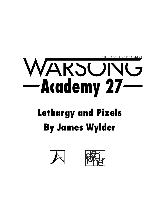

## **Lethargy and Pixels By James Wylder**



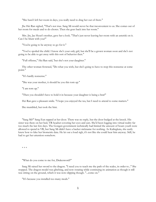"She hasn't left her room in days, you really need to drag her out of there."

Jhe Hei Ran sighed, "That's not true. Sang Mi would never be that inconvenient to us. She comes out of her room for meals and to do chores. Then she goes back into her room."

Mrs. Jin, Jae Hyun's mother, gave her a look. "That's just never leaving her room with an asterisk on it. Can I be blunt with you?"

"You're going to be anyway so go for it."

"You've spoiled the child. I know she's your only girl, but she'll be a grown woman soon and she's not going to be able to get away with this sort of behavior then."

"Full offense," Hei Ran said, 'but she's not your daughter."

The other woman frowned, "Do what you wish, but she's going to have to stop this nonsense at some point."

"It's hardly nonsense."

"She was your mother, it should be you this torn up."

"I am torn up."

"Then you shouldn't have to hold it in because your daughter is being a brat!"

Hei Ran gave a pleasant smile. "I hope you enjoyed the tea, but I need to attend to some matters."

She mumbled, but took the hint.

"Sang Mi?" Sang Eun rapped at her door. There was no reply, but the door budged at the knock. His sister was there on her bed, VR headset covering her eyes and ears. She'd been logging into virtual reality far too much the last few days. The Gongen government technically had limited the amount of hours youth were allowed to spend in VR, but Sang Mi didn't have a hacker nickname for nothing. As Kalingkata, she easily knew how to fake her biometric data. He let out a loud sigh, it's not like she could hear him anyway. Still, he had to get her attention somehow.

\* \* \*

"What do you come to me for, Drakesword?"

Sang Mi raised her sword to the dragon. "I need you to teach me the path of the scales, in order to..." She stopped. The dragon model was glitching, and now rotating while continuing its animation as though it still was sitting on the ground, which it was now clipping though. "...come on."

"It's because you installed too many mods."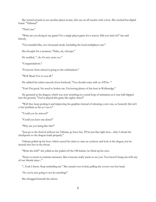She turned around to see another player avatar, this one an elf warrior with a bow. She stroked her digital beard. "Talinata?"

"That's me."

"What are you doing in my game? It's a single player game for a reason. Did you hack in?" she said bitterly.

"You installed like, two-thousand mods. Including the local multiplayer one."

She thought for a moment, "Haha, oh, whoops."

He nodded, "...So it's new years eve."

"Congratulations."

"Everyone from school is going to the celebrations."

"Well Mazel Tov to you all."

He rubbed his rather smooth elven forehead, "You should come with us. It'll be--"

"Fun? I'm good. No need to bother me. I'm having plenty of fun here in Welkinedge."

He gestured at the dragon, which was now twitching in a weird loop of animation as it was half clipped into the ground, "You've played this game like eighty times!"

"Well they keep porting it and improving the graphics instead of releasing a new one, so honestly this isn't a 'me' problem as far as I see it."

"Could you be serious?"

"Could you leave me alone?"

"Why are you being like this?"

"Just go to the festival without me Talinata, go have fun. I'll be just fine right here... after I reload the checkpoint so the dragon loads properly."

Talinata pulled up his bow, which caused his sister to raise an eyebrow and look at the dragon, but he instead shot her in the throat.

"What the hell?" she yelled as she pulled off the VR helmet, he lifted up his own.

"Sorry to resort to extreme measures. But everyone really wants to see you. You haven't hung out with any of our friends since..."

"...Yeah I know. Stop reminding me." She turned over in bed, pulling the covers over her head.

"So you're just going to not do anything?"

She shrugged beneath the sheets.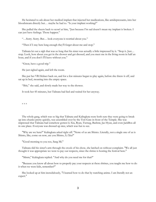He hesitated to ask about her medical implant that injected her medications, like antidepressants, into her bloodstream directly but… maybe he had to. "Is your implant working?"

She pulled the sheets back to scowl at him, "Just because I'm sad doesn't mean my implant is broken. I can just have feelings. Those happen."

"…Sorry. Sorry. But… look everyone is worried about you."

"Then if I stay here long enough they'll forget about me and stop."

Talinata let out a sigh that was so long that his sister was actually a little impressed by it. "Stop it. Just… stop. Look, how about you get in the shower and get dressed, and you meet me in the living room in half an hour, and if you don't I'll leave without you."

"Great, have a good trip."

He just sighed again, and left the room.

She put her VR Helmet back on, and for a few minutes began to play again, before she threw it off, and sat up in bed, moaning into the empty space.

"Shit," she said, and slowly made her way to the shower.

It took her 45 minutes, but Talinata had lied and waited for her anyway.

 $* * *$ 

The whole gang, which was so big that Talinata and Kalingkata were both sure they were going to break up into chunks pretty quickly, was assembled over by the Tori Gate in front of the Temple. She was impressed that Talinata had somehow gotten Li Xiu, Ryan, Tsetseg, Bashrat, Jae Hyun, and even JackBox all in one place. Everyone was dressed up nice, which was fun to see.

"Why are we here?" Kalingkata asked right off. "None of us are Shinto. Literally, not a single one of us is Shinto, like, come on now, are you Shinto, Li Xiu?"

"Good morning to you too, Sang Mi."

Talinata slid his sister's arm through the crook of his ebow, she latched on without complaint. "We all just thought it was appropriate we were to pay our respects, since the shrine is hosting the festival here."

"Mmm," Kalingkata replied. "And why do you need me for that?"

"Because you know all about how to properly pay your respects at these shrines, you taught me how to do it when we were kids, remember?"

She looked up at him incredulously, "I learned how to do that by watching anime. I am literally not an expert."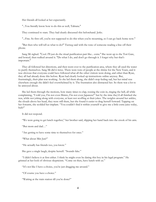Her friends all looked at her expectantly.

"...You literally know how to do this as well, Talinata."

They continued to stare. They had clearly discussed this beforehand. Jerks.

"...Fine. So first off, you're not supposed to do this when you're mourning, so I can go back home now."

"But then who will tell us what to do?" Tsetseg said with the tone of someone reading a line off their phone.

Sang Mi sighed. "Cool. I'll just do the ritual purification part like... extra." She went up to the Tori Gate, and bowed, then walked around it. "Do what I do, and don't go through it. I forget why but that's important."

They all followed her directions, and then went over to the purification area, where they all used the water to purify themselves. Sang Mi did it twice. There were tons of people at the shrine for the New Years, and it was obvious that everyone could have followed what all the other visitors were doing, and other than Ryan, they all had already done this before. Ryan had clearly looked up instructions online anyway. But, frustratingly, their plan was working. As she led them along, she didn't stop feeling sad, but her mind was elsewhere enough she didn't feel overwhelmed by it. The frustration also distracted her. So there was a lot to be annoyed about.

She led them through the motions, how many times to clap, tossing the coin in, ringing the bell, all while complaining, "I told you, I'm not even Shinto, I'm not even Japanese!" but by the time they'd all finished she was, while not joking along with everyone, at least not scoffing at their jokes. The weights around her ankles, the clouds above her head, they were still there, but she found it easier to drag herself forward. Tapping on her forearm, she scolded her implant. "You couldn't find it within yourself to give me a little extra juice today, huh?"

It did not respond.

"We were going to get lunch together," her brother said, slipping her hand back into the crook of his arm.

"But mom and dad…"

"Are getting to have some time to themselves for once."

"What about Min Jun?"

"He actually has friends too, you know."

She gave a single laugh, despite herself. "Sounds fake."

"I didn't believe it at first either. I think he might even be dating this boy in his legal program." He grinned at her look of obvious skepticism. "Come on then, have lunch with us."

"It's not like I have a choice, you're just dragging me around."

"Of course you have a choice."

"Waiting at the train station till you're done?"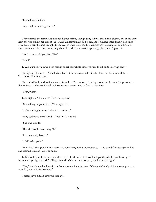"Something like that."

"My knight in shining armor."

They entered the restaurant in much higher spirits, though Sang Mi was still a little distant. But at the very least she was rolling her eyes at Jae Hyun's unintentionally bad jokes, and Talinata's intentionally bad ones. However, when the host brought them over to their table and the waitress arrived, Sang Mi couldn't look away from her. There was something about her when she started speaking. She couldn't place it.

"And what would you like, Miss?"

"Huh?"

Li Xiu laughed. "You've been staring at her this whole time, it's rude to hit on the serving staff."

She sighed, "I wasn't…" She looked back at the waitress. What the heck was so familiar with her. "…Lemon Chicken please."

She smiled back, and took the menu from her. The conversation kept going but her mind kept going to the waitress… This continued until someone was snapping in front of her face.

"Huh, what?"

Ryan sighed. "She returns from the depths."

"Something on your mind?" Tsetseg asked.

"…Something is unusual about the waitress."

Many eyebrows were raised. "Like?" Li Xiu asked.

"She was blonde?"

"Blonde people exist, Sang Mi."

"Like, naturally blonde."

"...Still exist, yeah."

"But like..." she gave up. But there was something about their waitress… she couldn't exactly place, but she seemed familiar. "...never mind."

Li Xiu looked at the others, and then made the decision to broach a topic they'd all been thinking of broaching openly, but hadn't. "Hey, Sang Mi. We're all here for you, you know that right?"

"Yes," Jae Hyun added in with perhaps too much enthusiasm. "We are definitely all here to support you, including me, who is also here."

Tsetseg gave him an awkward side eye.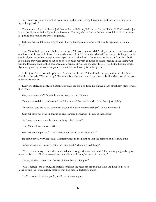"...Thanks everyone. It's just all been really hard on me... losing Grandma... and then everything with Kyon happened..."

There was a collective silence. JackBox looked at Talinata, Talinata looked at Li Xiu, Li Xiu looked at Jae Hyun, Jae Hyun looked at Ryan, Ryan looked at Tsetseg, who looked at Bashrat, who did not look up from his phone and spoiled the whole sequence.

JackBox made a fake coughing sound, "Heyyy, Kalingkata so um... what exactly happened with uh... Kyon?"

Sang Mi looked up, tears bubbling in her eyes, "Oh god, I guess I didn't tell you guys... I just assumed you saw it on social... sorry. I didn't..." she made a weak little 'hic' sound as she held back a sob. Talking about it was hard, and her other thoughts were wiped away by the flood of emotions. Jae Hyun and JackBox both looked like they were either about to pounce on Sang Mi with comfort or fight someone in the Flying Cat parking lot. Sang Eun looked confused and worried. Li Xiu was focused. Tsetseg was biting her fingernails. Ryan was glancing between everyone. Bashrat did not look up from his phone.

"...It's just..." she took a deep breath. "...Kyon and I... we..." She closed her eyes, and turned her head slightly to the side. "We broke up!" She immediately began crying. Long deep sobs that she covered her eyes to shield from view.

Everyone stared in confusion. Bashrat actually did look up from his phone. Many significant glances were then made.

*Did you know about this?* multiple glances conveyed to Talinata.

Talinata, who did not understand the full extent of the question, shook his head just slightly.

"When you say, broke up, you mean dissolved a business partnership?" Jae Hyun ventured.

Sang Mi tilted her head in confusion and lowered her hands. "N-no? Is that a joke?"

"...Then you mean you... broke up a thing called Kyon?"

Sang Mi just looked more baffled.

Her brother stepped in. "...She means Kyon, her now ex-boyfriend?"

Jae Hyun gave a very large nod. Comically large to the point he lost the balance of his chair a little.

"...So she's single?" JackBox said, then amended, "which is a bad thing."

"Yes, I'm also sorry to hear this news. Which is not good news that I didn't know was going to be good news and is kind of bad news--wait--no actually is bad news, because of... reasons."

Tsetseg reached a hand out. "We're all here for you, Sang Mi!"

"Oh, Tsetseg!" she got up, and instead of taking the hand ran around the table and hugged Tsetseg. JackBox and Jae Hyun quickly realized they had made a tactical blunder.

"…Yes, we're all behind you!" JackBox said standing up.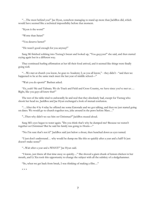"…The most behind you!" Jae Hyun, somehow managing to stand up more than JackBox did, which would have seemed like a technical impossibility before that moment.

"Kyon is the worst!"

"Worse than Satan!"

"You deserve better!"

"He wasn't good enough for you anyway!"

Sang Mi finished sobbing into Tsetseg's breast and looked up, "You guyyysss!" she said, and then started crying again but in a different way.

They continued hurling affirmation at her till their food arrived, and it seemed like things were finally going well.

"…We met at church you know, he goes to Academy 2, as you all know," - they didn't - "and then we happened to be at the same track meet the last year of middle school-"

"Wait you do sports?" Bashrat asked.

"Er, yeah? Me and Talinata. We do Track and Field and Cross Country, we have since you've met us…. Right, like you guys all knew that?"

The rest of the table tried to awkwardly lie and nod that they absolutely had, except for Tsetseg who shook her head no. JackBox and Jae Hyun exchanged a look of mutual confusion.

"…After the 4 by 4 relay he offered me some Gatorade and we got talking, and then we just started going on dates. We would go to church together too, joke around in the pews before Mass…"

"...Then why didn't we see him on Christmas?" JackBox mused aloud.

Sang Mi's eyes began to water again. "Do you think that's why he dumped me? Because we weren't together on Christmas? But he said his family was going to Hozin—"

"No I'm sure that's not it!" JackBox said just below a shout, then hunched down as eyes turned.

"I just don't understand… why would he dump me like this so quickly after a year and a half? It just doesn't make sense!"

"...Wait after a year and a WHAT?" Jae Hyun said.

"I know, just threw all that time away so quickly…" She shoved a giant chunk of lemon chicken in her mouth, and Li Xiu took this opportunity to change the subject with all the subtlety of a sledgehammer.

"So, when we get back from break, I was thinking of making a film…"

\* \* \*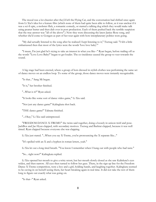The mood was a lot cheerier after they'd left the Flying Cat, and the conversation had shifted once again from Li Xiu's idea for a feature film (which none of them had quite been able to follow, as it was unclear if it was a sci-fi epic, a mobster flick, a romantic comedy, or starred a talking dog which they would make talk using peanut butter and then dub over in post production. Each of them pushed back the terrible suspicion that the true answer was "all of the above".) Now they were discussing the latest Janice Rose song, and whether she'd come to Gongen as part of her tour again with how interplanetary politics were going.

"My dad actually listened to the song after he realized I kept listening to it," Tsetseg said. "I felt a little embarrassed then that most of the lyrics were the words 'love love baby'."

"I mean, I'm just glad he's trying to take an interest in what you like--" Ryan began, before trailing off as the words "Love Love Baby!" began to get louder. The co-incidence caused the group to veer towards the sound.

A big stage had been erected, where a group of bots dressed in stylish clothes was performing the same set of dance moves on an endless loop. To some of the group, those dance moves were instantly recognizable.

"Is that..." Sang Mi began.

"It is," her brother finished.

"...What is it?" Ryan asked.

"It looks like some sort of dance video game," Li Xiu said.

"Not just any dance game!" Kalingkata shot back.

"THE dance game!" Talinata finished.

"...Okay," Li Xiu said unimpressed.

"FREEDOM DANCE X-TREME!" the twins said together, doing a loosely in unison twirl and pose. JackBox and Jae Hyun clapped, with secondary motives. Tsetseg and Bashrat clapped, because it was well timed. Ryan clapped because everyone else was clapping.

Li Xiu just stared. "...When you say X-Treme, you're pronouncing the X separate like..."

"It's spelled with an X and a hyphen in roman letters, yeah."

Li Xiu let out a long tired breath. "You know I remember when I hung out with people who had taste."

"So... right now?" Kalingkata replied.

Li Xiu opened her mouth to give a witty retort, but her mouth slowly closed as she saw Kalinkata's eyes widen, and then narrow. All eyes then turned to follow her gaze. There, in the sign up line for the Freedom Dance X-Treme competition, were a boy and a girl, holding hands, and laughing together. Kalingkata seemed to be caving in on herself seeing them, her heart breaking again in real time. It did not take the rest of them long to figure out exactly what was going on.

"Is that--" Ryan asked.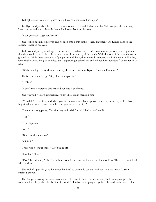Kalingkata just nodded, "I guess he did have someone else lined up..."

Jae Hyun and JackBox both looked ready to march off and declare war, but Talinata gave them a sharp look that made them both settle down. He looked back at his sister.

"Let's go enter. Together. Yeah?"

She looked back into his eyes, and nodded with a thin smile. "Yeah, together." She turned back to the others. "Cheer us on, yeah?"

JackBox and Jae Hyun whispered something to each other, and that was sure suspicious, but they assented that they would indeed cheer them on very much, so much, all the much. With that out of the way, the twins got in line. While there were a lot of people around them, they were all strangers, and it felt in a way like they were finally alone. Sang Mi exhaled, and Sang Eun got behind her and rubbed her shoulders. "You're tense as hell."

"It's been a big day. And we're entering the same contest as Kyon. Of course I'm tense."

He kept up the massage, "So, I have a suspicion."

"...Okay."

"I don't think everyone else realized you had a boyfriend."

She frowned, "That's impossible. It's not like I didn't mention him."

"You didn't very often, and when you did he was your all-star sports champion, in the top of his class, boyfriend who went to another school so you hadn't met him."

There was a long pause, "Oh shit they really didn't think I had a boyfriend!?!"

"Yep."

"That explains--"

'Yep."

"But then that means--"

"Uh huh."

There was a long silence. "...Let's trade off."

"No that's okay."

"Don't be a dummy." She forced him around, and dug her fingers into his shoulders. They were rock hard with tension.

She looked up at him, and he turned his head so she could see that he knew that she knew. "...How stressed are you?"

He slumped, closing his eyes, as someone told them to keep the line moving, and Kalingkata gave them some snark as she pushed her brother forward. "...I'm barely keeping it together," he said as she shoved him.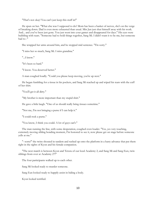"That's not okay! You can't just keep this stuff in!"

He spun on her. "What else was I supposed to do? Mom has been a basket of nerves, she's on the verge of breaking down. Dad is even more exhausted than usual. Min Jun just shut himself away with his work. And... and you've been just gone. You just went into your games and disappeared for days." His eyes were bubbling with tears. "Someone had to hold things together, Sang Mi. I didn't want it to be me, but someone had to--"

She wrapped her arms around him, and he stopped mid sentence. "I'm sorry."

"I miss her so much, Sang Mi. I miss grandma."

"...I know."

"It's been so hard."

"I know. You deserved better."

A man coughed loudly. "Could you please keep moving, you're up next."

He began fumbling for a tissue in his pockets, and Sang Mi reached up and wiped his tears with the cuff of her shirt.

"You'll get it all dirty."

"My brother is more important than my stupid shirt."

He gave a little laugh. "One of us should really bring tissues sometime."

"Not me, I'm not bringing a purse if I can help it."

"I could rock a purse."

"You know, I think you could. A lot of guys can't."

The man running the line, with some desperation, coughed even louder. "Yes, yes very touching, extremely moving sibling bonding moment, I'm honored to see it, now please get on stage before someone yells at me."

"--sorry!" the twins shouted in tandem and rushed up onto the platform in a hasty advance that put them right in the sights of Kyon and his female companion.

"The next match is between Kyon and Tetora of our local Academy 2, and Sang Mi and Sang Eun, twin siblings from over at Academy 27!"

The four participants walked up to each other.

Sang Mi looked ready to murder someone.

Sang Eun looked ready to happily assist in hiding a body.

Kyon looked terrified.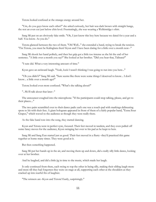Tetora looked confused at the strange energy around her.

"Um, do you guys know each other?" she asked curiously, her hair was dark brown with straight bangs, the rest an even cut just below chin level. Frustratingly, she was wearing a Welkinridge t-shirt.

Sang Mi put on an obviously fake smile. "Oh, I just know this boy here because we dated for a year and a half. You know. As you do."

Tetora glanced between the two of them. "Oh! Well..." she extended a hand, trying to break the tension. "I'm Tetora, you must be Kalingkata then? Kyon and I have been dating for a little over a month now--"

Sang Mi shook her hand politely, and then her grip got a little too intense as she hit the end of her sentence. "A little over a month you say?" She looked at her brother. "Did you hear that, Talinata?"

"I sure did. What a very interesting amount of time."

Kyon gave an awkward laugh. "Yeah, look I wasn't thinking I was going to run into you here..."

"Oh you didn't?" Sang Mi said. "Sure seems like there were some things I deserved to know... I don't know... a little over a month ago?"

Tetora looked even more confused. "What's she talking about?"

"...We'll talk about that later--"

The announcer coughed into the microphone. "If the participants could stop talking, please, and get to their places...."

The two pairs scrambled over to their dance pads: each one was a touch-pad with markings delineating spots to hit with their feet. A giant hologram appeared in front of them of a fairly popular band, "Extra Sour Grapes," which waved to the audience as though they were really there.

As the fake band tore into the song, they started dancing.

Kyon and Tetora were in perfect sync, focused. Their feet moved in tandem, and they even pulled off some fancy moves for the audience, Kyon swinging her over to his pad as he leapt to hers.

Sang Mi and Sang Eun started just as good. Their feet moved in a flurry--they'd practiced this game together at home many times. They were good at it.

But then something happened.

Sang Mi put her hands up in the air, and moving them up and down, did a really silly little dance, looking over at her brother.

And he laughed, and did a little jig in time to the music, which made her laugh.

It only continued from there, each trying to top the other in being silly, making their sibling laugh more and more till they had forgotten they were on stage at all, supporting each other at the shoulders as they cracked up into tearful fits of laughter.

"The winners are--Kyon and Tetora! Easily, surprisingly."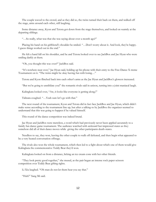The couple waved to the crowd, and as they did so, the twins turned their back on them, and walked off the stage, arms around each other, still laughing.

Some distance away, Kyon and Tetora got down from the stage themselves, and looked on warmly at the departing siblings.

"…So really, what was that she was saying about over a month ago?"

Placing his hand on his girlfriend's shoulder he smiled. "…Don't worry about it. And look, they're happy. I guess things worked out in the end."

He felt a hand fall on his shoulder, and he and Tetora looked over to see JackBox and Jae Hyun who were smiling darkly at them.

"Oh, you thought this was over?" JackBox said.

"It's nowhere near over," Jae Hyun said, holding up his phone with their entry to the Free Dance X-treme Tournament on it. "The twins might be okay having fun with losing…"

Tetora and Kyon flinched back into each other's arms as the Jae Hyun and JackBox's glowers increased.

"But we're going to annihilate you!" the romantic rivals said in unison, turning into a joint maniacal laugh.

Kalingkata looked over, "Aw, it looks like everyone is getting along.!"

Talinata coughed. "…Yeah sure let's go with that."

The next round of the tournament, Kyon and Tetora did in fact face JackBox and Jae Hyun, which didn't make sense according to the tournament line up, but after a talking-to by JackBox the organizer seemed to understand that this was going to happen if he valued himself.

This round of the dance competition was indeed brutal.

Jae Hyun and JackBox were merciless, a word which had previously never been applied accurately to a family fun dance game tournament. The audience watched with awkward but impressed stares as they somehow did all of their dance moves while giving the other participants death-stares.

Needless to say, they won, leaving the other couple to walk off defeated, and then begin what appeared to be a very heated conversation offstage.

The rivals also won the whole tournament, which then led to a fight about which one of them would give Kalingkata the commemorative Teddy Bear they'd won.

Kalingkata looked on from a distance, licking an ice cream cone with her other friends.

"They look pretty good together," she mused, as the pair began an intense rock paper scissors competition over Teddy Bear gifting rights.

Li Xiu laughed. "Oh man do not let them hear you say that."

"Huh?" Sang Mi said.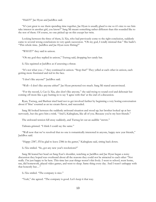"Huh?!?" Jae Hyun and JackBox said.

"It's just great to see them spending time together, Jae Hyun is usually glued to me so it's nice to see him take interest in another girl, you know?" Sang Mi meant something rather different than this sounded like to the rest of them. Of course, no one picked up on this except her twin.

Looking between the three of them, Li Xiu, who had previously come to the right conclusion, suddenly came to several wrong conclusions in very quick succession. "Oh my god, I totally misread that." She hadn't. "This whole time.. JackBox and Jae Hyun were flirting?"

"WHAT?" they said in unison.

"Oh my god they replied in unison," Tsetseg said, dropping her candy bar.

Li Xiu squinted at JackBox as if assessing a threat.

"It's not what you—" they continued in unison. "Stop that!" They yelled at each other in unison, each getting more frustrated and red in the face.

"I don't like anyone!" JackBox said.

"Well—I don't like anyone either!" Jae Hyun protested too much. Sang Mi stared unconvinced.

"For the record, I, Cao Li Xiu, also don't like anyone," she said trying to sound cool and debonair but coming off more like a guy butting in to say 'I agree with that' at the end of a discussion.

Ryan, Tsetseg, and Bashrat tried hard not to get involved further by beginning a very boring conversation about if 'blue' counted as an ice cream flavor, and succeeded.

Sang Mi looked between the suddenly awkward situation and stood up; her brother looked up at her nervously, but she gave him a wink. "And I, Kalingkata, like all of you. Because you're my best friends."

The awkward tension fell away suddenly, and Tsetseg let out an audible "awww."

Talinata grinned. "I think I could say the same."

"Well now that we've resolved that no one is romantically interested in anyone, happy new year friends," JackBox said.

"Happy 2387, I'll be glad to leave 2386 in the gutter," Kalingkata said, sitting back down.

Li Xiu smiled. "So, got any new year's resolutions?"

Sang Mi leaned her head on Sang Eun's shoulder, watching as JackBox and Jae Hyun began a noisy discussion they hoped was overheard about all the reasons they could not be attracted to each other "Not really. I'm just happy to be here. This time last year things weren't this lively. I went to school, went home, ran, did homework, played video games, and went to sleep. Same thing every day. And I wasn't unhappy with that honestly but…"

Li Xiu smiled. "The company is nice."

"Yeah," she agreed. "The company is good. Let's keep it that way.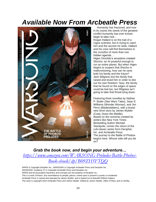## *Available Now From Arcbeatle Press*



Humanity has fractured, and now in its cracks the seeds of the greatest conflict humanity has ever known begin to take root…

Rogan Hallard is on the trail of a rogue scientist, but in trying to catch him and the secrets he stole, Hallard and his crew will find themselves in the crossfire of more than one hidden agenda…

Higen Orochito's ancestors created Shocho: an AI powerful enough to run an entire planet. But when Higen begins to suspect that Shocho is malfunctioning, how can he save both his family and the future? Jack Wilgress lost the family that raised and loved him in order to eke out his own freedom. Now, the family that he found on the edges of space could be lost too, but Wilgress isn't going to take that threat lying down.

Featuring three novellas by Nathan P. Butler (Star Wars Tales), Sean E. Williams (Wonder Woman), and Jim Perry (Bladewielders), with a brand new short story by James Wylder (Cwej: Down the Middle). Based on the universe created by writers like New York Times Bestselling Author Michael Stackpole, comes the return of the cult-classic series from Decipher, Inc. and Arcbeatle Press. The journey to the Battle of Phobos begins here. Whose side will you be on?

## *Grab the book now, and begin your adventure… [https://www.amazon.com/WARSONG-Preludes-Battle-Phobos-](https://www.amazon.com/WARSONG-Preludes-Battle-Phobos-Book-ebook/dp/B09ZH5FTQQ)[Book-ebook/dp/B09ZH5FTQQ](https://www.amazon.com/WARSONG-Preludes-Battle-Phobos-Book-ebook/dp/B09ZH5FTQQ)*

*WARS is Copyright Decipher Inc., WARSONG is Copyright Arcbeatle Press and Decipher Inc. WARSONG: Academy 27 is Copyright Arcbeatle Press and Decipher Inc. WARS and all associated characters and concepts are the property of Decipher inc. This is a work of fiction. Any resemblance to people, places, events past or present is purely co-incidental. Arcbeatle Press is owned and operated by James Wylder, and is based out of beautiful Elkhart Indiana. This story is copyright 2022 Arcbeatle Press and James Wylder. Edited by James Wylder, Dillon O'Hara, and Jo Smiley.*